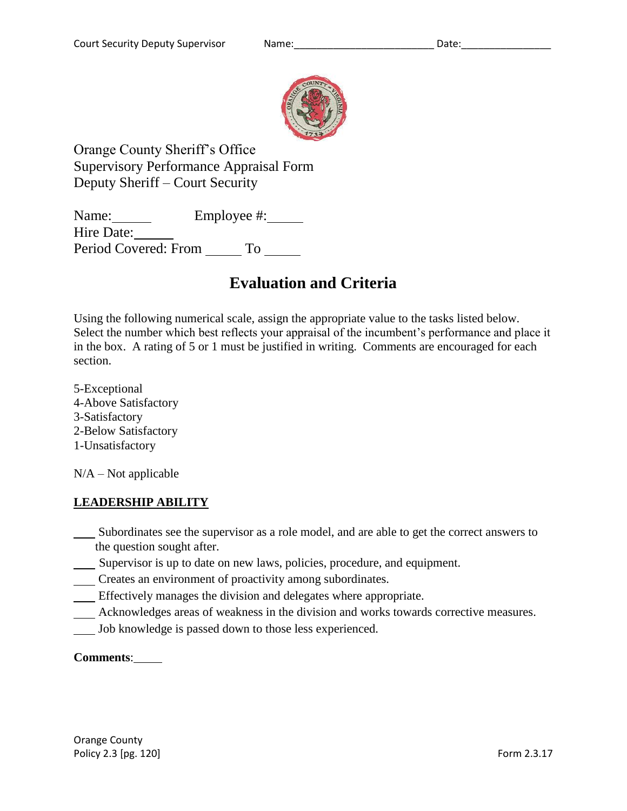

Orange County Sheriff's Office Supervisory Performance Appraisal Form Deputy Sheriff – Court Security

Name: Employee #: Hire Date: Period Covered: From To

# **Evaluation and Criteria**

Using the following numerical scale, assign the appropriate value to the tasks listed below. Select the number which best reflects your appraisal of the incumbent's performance and place it in the box. A rating of 5 or 1 must be justified in writing. Comments are encouraged for each section.

5-Exceptional 4-Above Satisfactory 3-Satisfactory 2-Below Satisfactory 1-Unsatisfactory

 $N/A - Not$  applicable

# **LEADERSHIP ABILITY**

- Subordinates see the supervisor as a role model, and are able to get the correct answers to the question sought after.
- Supervisor is up to date on new laws, policies, procedure, and equipment.
- Creates an environment of proactivity among subordinates.
- Effectively manages the division and delegates where appropriate.
- Acknowledges areas of weakness in the division and works towards corrective measures.
- Job knowledge is passed down to those less experienced.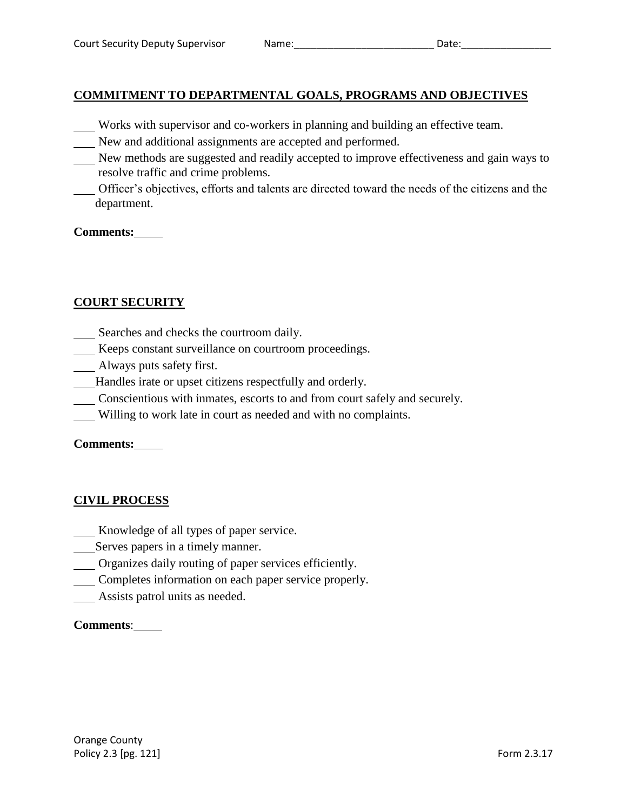# **COMMITMENT TO DEPARTMENTAL GOALS, PROGRAMS AND OBJECTIVES**

- Works with supervisor and co-workers in planning and building an effective team.
- New and additional assignments are accepted and performed.
- New methods are suggested and readily accepted to improve effectiveness and gain ways to resolve traffic and crime problems.
- Officer's objectives, efforts and talents are directed toward the needs of the citizens and the department.

#### **Comments:**

# **COURT SECURITY**

- Searches and checks the courtroom daily.
- Keeps constant surveillance on courtroom proceedings.
- Always puts safety first.
- Handles irate or upset citizens respectfully and orderly.
- Conscientious with inmates, escorts to and from court safely and securely.
- Willing to work late in court as needed and with no complaints.

**Comments:**

# **CIVIL PROCESS**

- Knowledge of all types of paper service.
- Serves papers in a timely manner.
- Organizes daily routing of paper services efficiently.
- Completes information on each paper service properly.
- **Assists patrol units as needed.**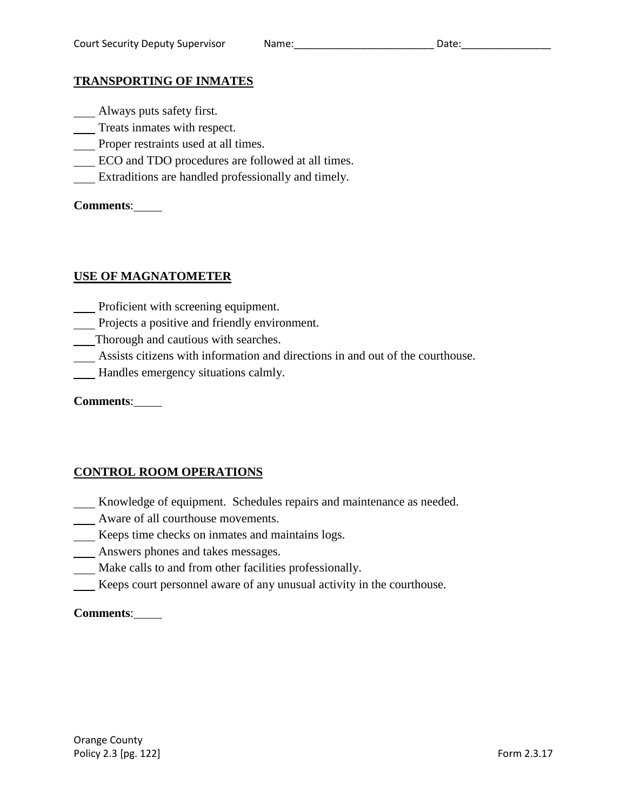#### **TRANSPORTING OF INMATES**

- **Always puts safety first.**
- Treats inmates with respect.
- Proper restraints used at all times.
- ECO and TDO procedures are followed at all times.
- Extraditions are handled professionally and timely.

**Comments**:

# **USE OF MAGNATOMETER**

- **Proficient with screening equipment.**
- Projects a positive and friendly environment.
- Thorough and cautious with searches.
- Assists citizens with information and directions in and out of the courthouse.
- Handles emergency situations calmly.

| <b>Comments:</b> |  |
|------------------|--|
|                  |  |

# **CONTROL ROOM OPERATIONS**

- Knowledge of equipment. Schedules repairs and maintenance as needed.
- Aware of all courthouse movements.
- Keeps time checks on inmates and maintains logs.
- Answers phones and takes messages.
- Make calls to and from other facilities professionally.
- Keeps court personnel aware of any unusual activity in the courthouse.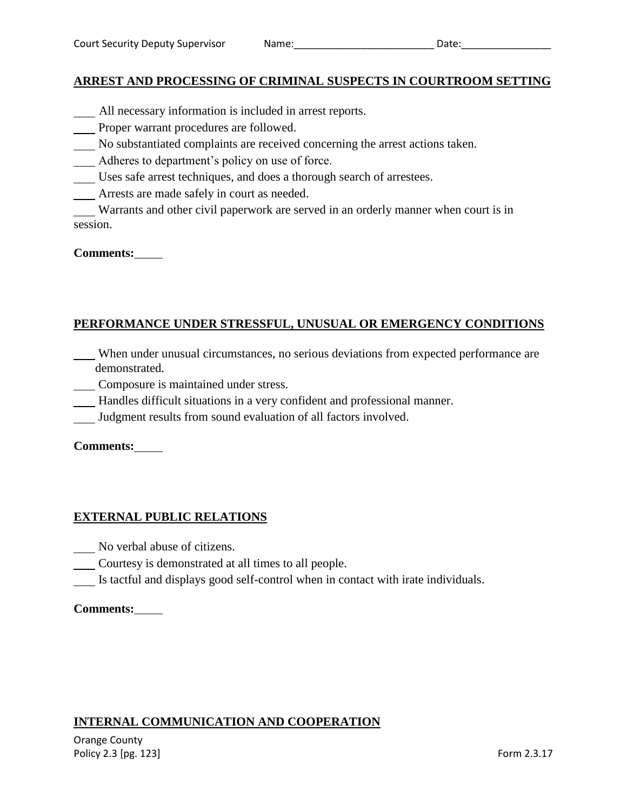#### **ARREST AND PROCESSING OF CRIMINAL SUSPECTS IN COURTROOM SETTING**

- All necessary information is included in arrest reports.
- Proper warrant procedures are followed.
- No substantiated complaints are received concerning the arrest actions taken.
- Adheres to department's policy on use of force.
- Uses safe arrest techniques, and does a thorough search of arrestees.
- Arrests are made safely in court as needed.

Warrants and other civil paperwork are served in an orderly manner when court is in session.

#### **Comments:**

# **PERFORMANCE UNDER STRESSFUL, UNUSUAL OR EMERGENCY CONDITIONS**

- When under unusual circumstances, no serious deviations from expected performance are demonstrated.
	- Composure is maintained under stress.
- Handles difficult situations in a very confident and professional manner.
- Judgment results from sound evaluation of all factors involved.

**Comments:**

# **EXTERNAL PUBLIC RELATIONS**

- No verbal abuse of citizens.
- Courtesy is demonstrated at all times to all people.
- Is tactful and displays good self-control when in contact with irate individuals.

#### **Comments:**

# **INTERNAL COMMUNICATION AND COOPERATION**

Orange County Policy 2.3 [pg. 123] Form 2.3.17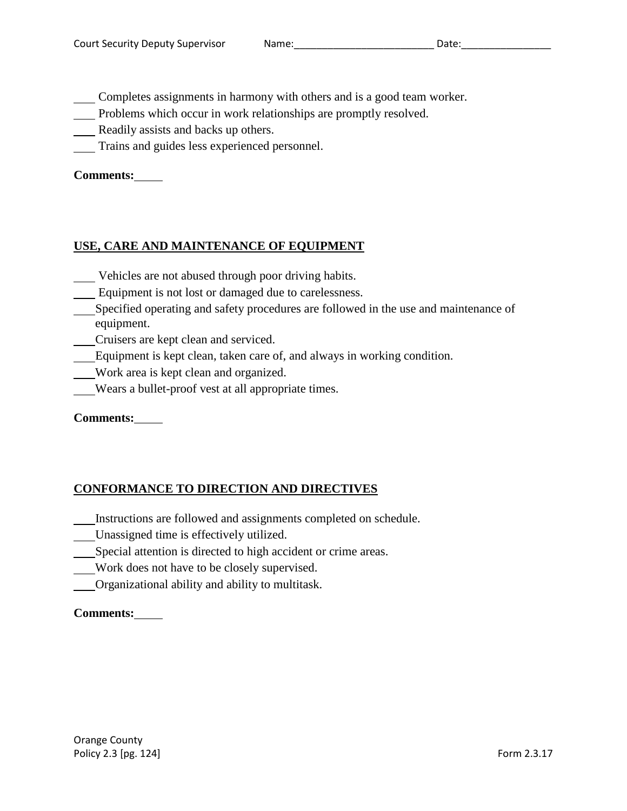Completes assignments in harmony with others and is a good team worker.

- Problems which occur in work relationships are promptly resolved.
- Readily assists and backs up others.
- Trains and guides less experienced personnel.

# **Comments:**

# **USE, CARE AND MAINTENANCE OF EQUIPMENT**

- Vehicles are not abused through poor driving habits.
- Equipment is not lost or damaged due to carelessness.
- Specified operating and safety procedures are followed in the use and maintenance of equipment.
- Cruisers are kept clean and serviced.
- Equipment is kept clean, taken care of, and always in working condition.
- Work area is kept clean and organized.
- Wears a bullet-proof vest at all appropriate times.

# **Comments:**

# **CONFORMANCE TO DIRECTION AND DIRECTIVES**

- Instructions are followed and assignments completed on schedule.
- Unassigned time is effectively utilized.
- Special attention is directed to high accident or crime areas.
- Work does not have to be closely supervised.
- Organizational ability and ability to multitask.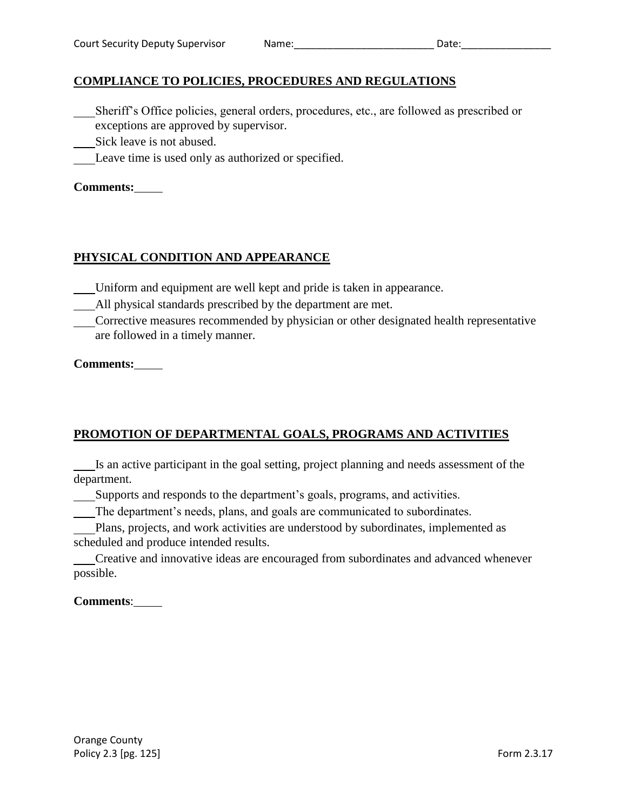# **COMPLIANCE TO POLICIES, PROCEDURES AND REGULATIONS**

- Sheriff's Office policies, general orders, procedures, etc., are followed as prescribed or exceptions are approved by supervisor.
- Sick leave is not abused.
- Leave time is used only as authorized or specified.

#### **Comments:**

#### **PHYSICAL CONDITION AND APPEARANCE**

- Uniform and equipment are well kept and pride is taken in appearance.
- All physical standards prescribed by the department are met.
- Corrective measures recommended by physician or other designated health representative are followed in a timely manner.

#### **Comments:**

# **PROMOTION OF DEPARTMENTAL GOALS, PROGRAMS AND ACTIVITIES**

Is an active participant in the goal setting, project planning and needs assessment of the department.

Supports and responds to the department's goals, programs, and activities.

The department's needs, plans, and goals are communicated to subordinates.

Plans, projects, and work activities are understood by subordinates, implemented as scheduled and produce intended results.

Creative and innovative ideas are encouraged from subordinates and advanced whenever possible.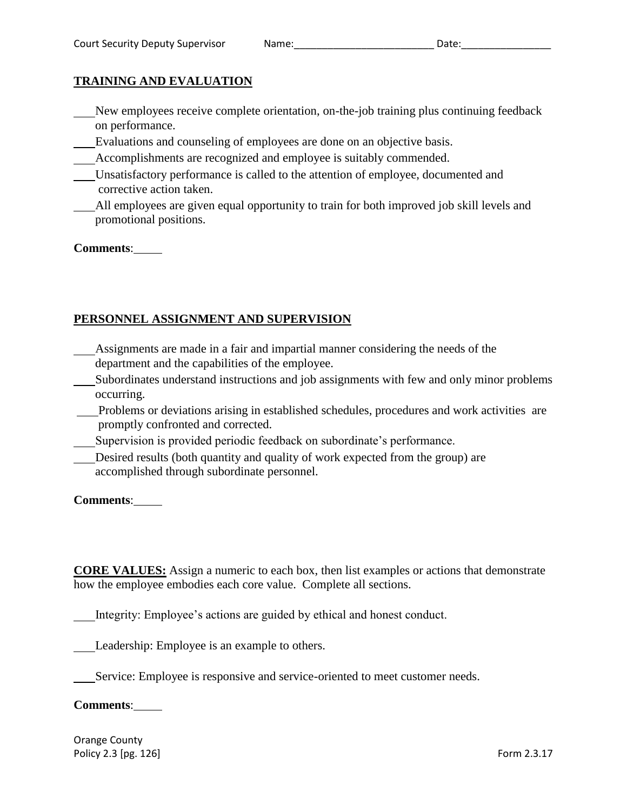# **TRAINING AND EVALUATION**

- New employees receive complete orientation, on-the-job training plus continuing feedback on performance.
- Evaluations and counseling of employees are done on an objective basis.
- Accomplishments are recognized and employee is suitably commended.
- Unsatisfactory performance is called to the attention of employee, documented and corrective action taken.
- All employees are given equal opportunity to train for both improved job skill levels and promotional positions.

#### **Comments**:

# **PERSONNEL ASSIGNMENT AND SUPERVISION**

- Assignments are made in a fair and impartial manner considering the needs of the department and the capabilities of the employee.
- Subordinates understand instructions and job assignments with few and only minor problems occurring.
- Problems or deviations arising in established schedules, procedures and work activities are promptly confronted and corrected.
- Supervision is provided periodic feedback on subordinate's performance.
- Desired results (both quantity and quality of work expected from the group) are accomplished through subordinate personnel.

**Comments**:

**CORE VALUES:** Assign a numeric to each box, then list examples or actions that demonstrate how the employee embodies each core value. Complete all sections.

Integrity: Employee's actions are guided by ethical and honest conduct.

Leadership: Employee is an example to others.

Service: Employee is responsive and service-oriented to meet customer needs.

#### **Comments**:

Orange County Policy 2.3 [pg. 126] Form 2.3.17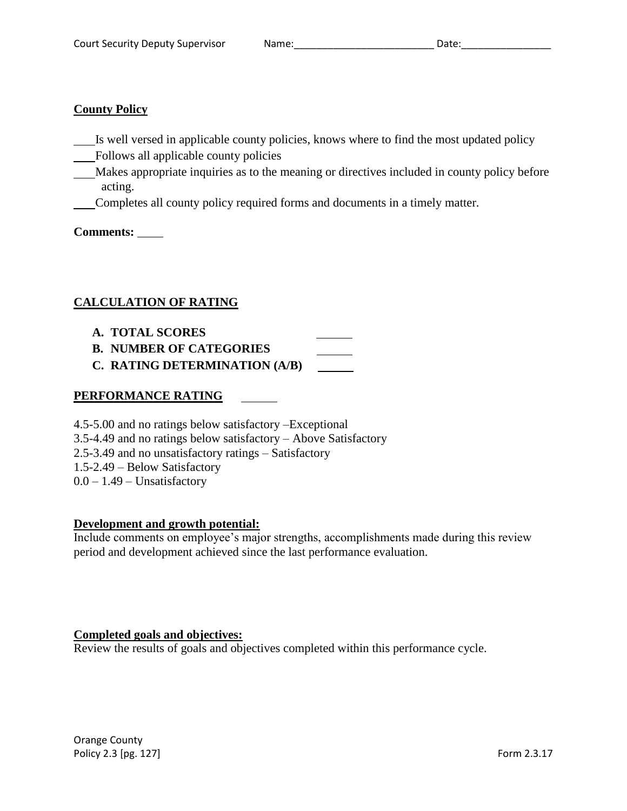#### **County Policy**

- Is well versed in applicable county policies, knows where to find the most updated policy
- Follows all applicable county policies
- Makes appropriate inquiries as to the meaning or directives included in county policy before acting.
- Completes all county policy required forms and documents in a timely matter.

**Comments:** 

# **CALCULATION OF RATING**

- **A. TOTAL SCORES**
- **B. NUMBER OF CATEGORIES**
- **C. RATING DETERMINATION (A/B)**

# **PERFORMANCE RATING**

- 4.5-5.00 and no ratings below satisfactory –Exceptional 3.5-4.49 and no ratings below satisfactory – Above Satisfactory
- 
- 2.5-3.49 and no unsatisfactory ratings Satisfactory
- 1.5-2.49 Below Satisfactory
- $0.0 1.49$  Unsatisfactory

# **Development and growth potential:**

Include comments on employee's major strengths, accomplishments made during this review period and development achieved since the last performance evaluation.

# **Completed goals and objectives:**

Review the results of goals and objectives completed within this performance cycle.